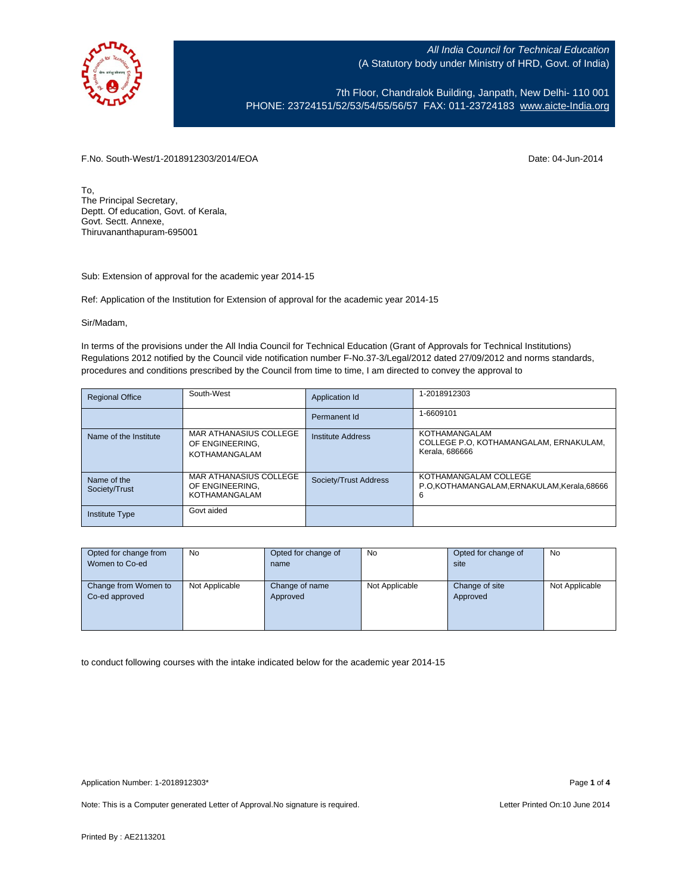

7th Floor, Chandralok Building, Janpath, New Delhi- 110 001 PHONE: 23724151/52/53/54/55/56/57 FAX: 011-23724183 [www.aicte-India.org](http://www.aicte-india.org/)

F.No. South-West/1-2018912303/2014/EOA Date: 04-Jun-2014

To, The Principal Secretary, Deptt. Of education, Govt. of Kerala, Govt. Sectt. Annexe, Thiruvananthapuram-695001

Sub: Extension of approval for the academic year 2014-15

Ref: Application of the Institution for Extension of approval for the academic year 2014-15

Sir/Madam,

In terms of the provisions under the All India Council for Technical Education (Grant of Approvals for Technical Institutions) Regulations 2012 notified by the Council vide notification number F-No.37-3/Legal/2012 dated 27/09/2012 and norms standards, procedures and conditions prescribed by the Council from time to time, I am directed to convey the approval to

| <b>Regional Office</b>       | South-West                                                        | Application Id        | 1-2018912303                                                              |
|------------------------------|-------------------------------------------------------------------|-----------------------|---------------------------------------------------------------------------|
|                              |                                                                   | Permanent Id          | 1-6609101                                                                 |
| Name of the Institute        | MAR ATHANASIUS COLLEGE<br>OF ENGINEERING.<br><b>KOTHAMANGALAM</b> | Institute Address     | KOTHAMANGALAM<br>COLLEGE P.O. KOTHAMANGALAM. ERNAKULAM.<br>Kerala, 686666 |
| Name of the<br>Society/Trust | MAR ATHANASIUS COLLEGE<br>OF ENGINEERING.<br><b>KOTHAMANGALAM</b> | Society/Trust Address | KOTHAMANGALAM COLLEGE<br>P.O.KOTHAMANGALAM,ERNAKULAM,Kerala,68666<br>6    |
| <b>Institute Type</b>        | Govt aided                                                        |                       |                                                                           |

| Opted for change from | <b>No</b>      | Opted for change of | No             | Opted for change of | <b>No</b>      |
|-----------------------|----------------|---------------------|----------------|---------------------|----------------|
| Women to Co-ed        |                | name                |                | site                |                |
|                       |                |                     |                |                     |                |
| Change from Women to  | Not Applicable | Change of name      | Not Applicable | Change of site      | Not Applicable |
| Co-ed approved        |                | Approved            |                | Approved            |                |
|                       |                |                     |                |                     |                |
|                       |                |                     |                |                     |                |
|                       |                |                     |                |                     |                |

to conduct following courses with the intake indicated below for the academic year 2014-15

Note: This is a Computer generated Letter of Approval. No signature is required. Letter Printed On:10 June 2014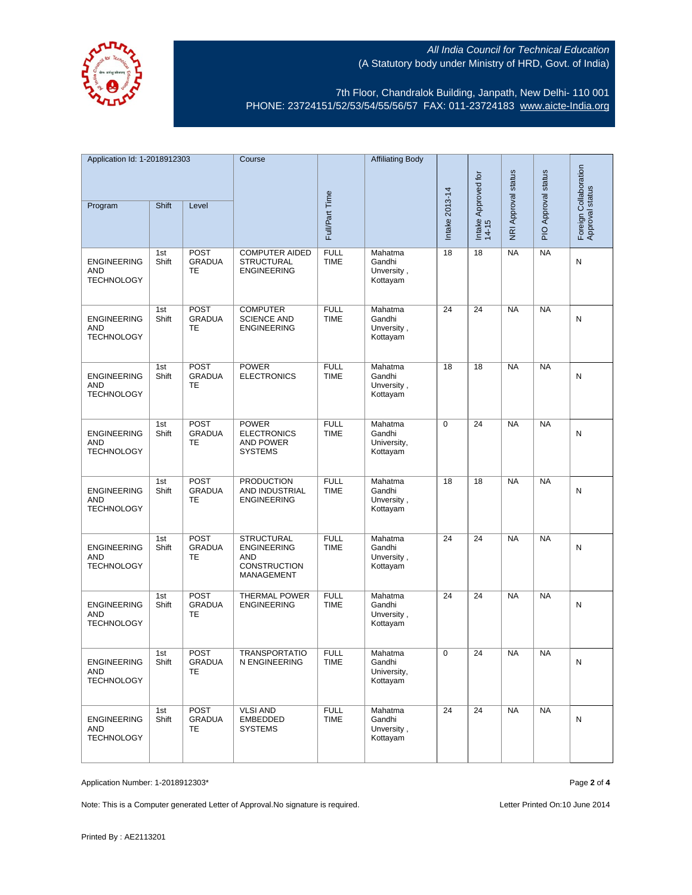

7th Floor, Chandralok Building, Janpath, New Delhi- 110 001 PHONE: 23724151/52/53/54/55/56/57 FAX: 011-23724183 [www.aicte-India.org](http://www.aicte-india.org/)

| Application Id: 1-2018912303                          |              | Course                                    |                                                                                            | <b>Affiliating Body</b>    |                                              |                              |                     |                     |                                          |   |
|-------------------------------------------------------|--------------|-------------------------------------------|--------------------------------------------------------------------------------------------|----------------------------|----------------------------------------------|------------------------------|---------------------|---------------------|------------------------------------------|---|
| Shift<br>Level                                        |              |                                           |                                                                                            |                            |                                              | Intake Approved for<br>14-15 | NRI Approval status | PIO Approval status | Foreign Collaboration<br>Approval status |   |
| Program                                               |              |                                           |                                                                                            | Full/Part Time             |                                              | Intake 2013-14               |                     |                     |                                          |   |
| <b>ENGINEERING</b><br><b>AND</b><br><b>TECHNOLOGY</b> | 1st<br>Shift | <b>POST</b><br><b>GRADUA</b><br>TE        | <b>COMPUTER AIDED</b><br><b>STRUCTURAL</b><br><b>ENGINEERING</b>                           | <b>FULL</b><br><b>TIME</b> | Mahatma<br>Gandhi<br>Unversity,<br>Kottayam  | 18                           | 18                  | <b>NA</b>           | <b>NA</b>                                | N |
| <b>ENGINEERING</b><br>AND<br><b>TECHNOLOGY</b>        | 1st<br>Shift | <b>POST</b><br><b>GRADUA</b><br>TE        | <b>COMPUTER</b><br><b>SCIENCE AND</b><br><b>ENGINEERING</b>                                | <b>FULL</b><br><b>TIME</b> | Mahatma<br>Gandhi<br>Unversity,<br>Kottayam  | 24                           | 24                  | <b>NA</b>           | <b>NA</b>                                | N |
| <b>ENGINEERING</b><br><b>AND</b><br><b>TECHNOLOGY</b> | 1st<br>Shift | <b>POST</b><br><b>GRADUA</b><br><b>TE</b> | <b>POWER</b><br><b>ELECTRONICS</b>                                                         | <b>FULL</b><br><b>TIME</b> | Mahatma<br>Gandhi<br>Unversity,<br>Kottayam  | 18                           | 18                  | <b>NA</b>           | <b>NA</b>                                | N |
| <b>ENGINEERING</b><br><b>AND</b><br><b>TECHNOLOGY</b> | 1st<br>Shift | <b>POST</b><br><b>GRADUA</b><br>TE        | <b>POWER</b><br><b>ELECTRONICS</b><br><b>AND POWER</b><br><b>SYSTEMS</b>                   | <b>FULL</b><br><b>TIME</b> | Mahatma<br>Gandhi<br>University,<br>Kottayam | 0                            | 24                  | <b>NA</b>           | <b>NA</b>                                | Ν |
| <b>ENGINEERING</b><br><b>AND</b><br><b>TECHNOLOGY</b> | 1st<br>Shift | <b>POST</b><br><b>GRADUA</b><br>TE        | <b>PRODUCTION</b><br>AND INDUSTRIAL<br><b>ENGINEERING</b>                                  | <b>FULL</b><br><b>TIME</b> | Mahatma<br>Gandhi<br>Unversity,<br>Kottayam  | 18                           | 18                  | <b>NA</b>           | <b>NA</b>                                | N |
| <b>ENGINEERING</b><br><b>AND</b><br><b>TECHNOLOGY</b> | 1st<br>Shift | POST<br><b>GRADUA</b><br>TE               | <b>STRUCTURAL</b><br><b>ENGINEERING</b><br><b>AND</b><br><b>CONSTRUCTION</b><br>MANAGEMENT | <b>FULL</b><br><b>TIME</b> | Mahatma<br>Gandhi<br>Unversity,<br>Kottayam  | 24                           | 24                  | <b>NA</b>           | <b>NA</b>                                | Ν |
| <b>ENGINEERING</b><br>AND<br><b>TECHNOLOGY</b>        | 1st<br>Shift | POST<br><b>GRADUA</b><br>TE               | <b>THERMAL POWER</b><br><b>ENGINEERING</b>                                                 | <b>FULL</b><br><b>TIME</b> | Mahatma<br>Gandhi<br>Unversity,<br>Kottayam  | 24                           | 24                  | <b>NA</b>           | <b>NA</b>                                | N |
| <b>ENGINEERING</b><br>AND<br><b>TECHNOLOGY</b>        | 1st<br>Shift | <b>POST</b><br>GRADUA<br><b>TE</b>        | <b>TRANSPORTATIO</b><br>N ENGINEERING                                                      | <b>FULL</b><br>TIME        | Mahatma<br>Gandhi<br>University,<br>Kottayam | 0                            | 24                  | <b>NA</b>           | <b>NA</b>                                | N |
| <b>ENGINEERING</b><br>AND<br><b>TECHNOLOGY</b>        | 1st<br>Shift | <b>POST</b><br><b>GRADUA</b><br>TE        | <b>VLSI AND</b><br>EMBEDDED<br><b>SYSTEMS</b>                                              | <b>FULL</b><br><b>TIME</b> | Mahatma<br>Gandhi<br>Unversity,<br>Kottayam  | 24                           | 24                  | <b>NA</b>           | <b>NA</b>                                | N |

Application Number: 1-2018912303\* Page **2** of **4**

Note: This is a Computer generated Letter of Approval. No signature is required. Letter Printed On:10 June 2014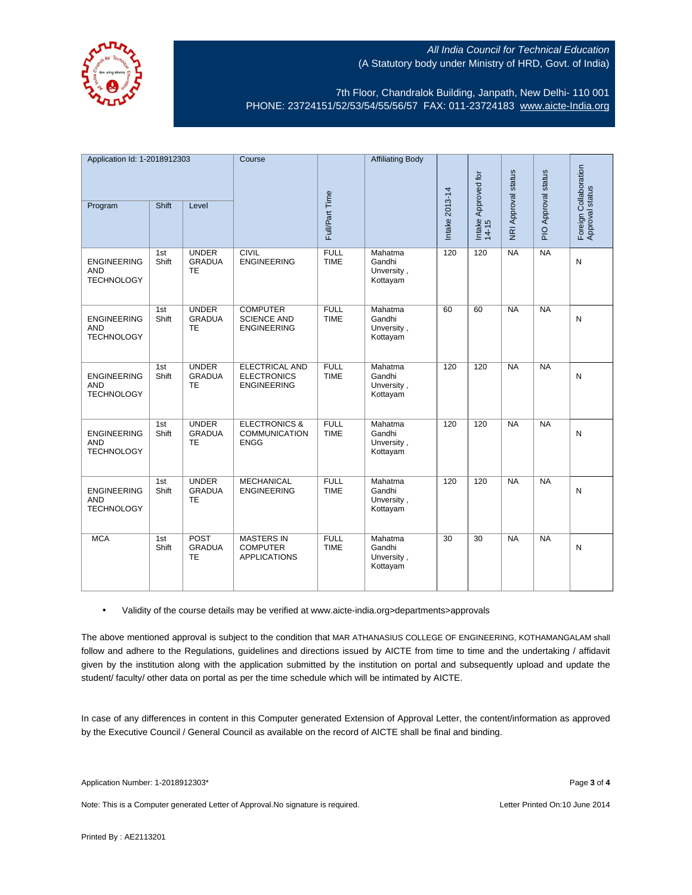

7th Floor, Chandralok Building, Janpath, New Delhi- 110 001 PHONE: 23724151/52/53/54/55/56/57 FAX: 011-23724183 [www.aicte-India.org](http://www.aicte-india.org/)

| Application Id: 1-2018912303                          |              | Course                                     |                                                                   | <b>Affiliating Body</b>    |                                             |                |                              |                     |                     |                                          |
|-------------------------------------------------------|--------------|--------------------------------------------|-------------------------------------------------------------------|----------------------------|---------------------------------------------|----------------|------------------------------|---------------------|---------------------|------------------------------------------|
| Program                                               | Shift        | Level                                      |                                                                   | Full/Part Time             |                                             | Intake 2013-14 | Intake Approved for<br>14-15 | NRI Approval status | PIO Approval status | Foreign Collaboration<br>Approval status |
| <b>ENGINEERING</b><br><b>AND</b><br><b>TECHNOLOGY</b> | 1st<br>Shift | <b>UNDER</b><br><b>GRADUA</b><br>TE        | <b>CIVIL</b><br><b>ENGINEERING</b>                                | <b>FULL</b><br><b>TIME</b> | Mahatma<br>Gandhi<br>Unversity,<br>Kottayam | 120            | 120                          | NA                  | NA                  | N                                        |
| <b>ENGINEERING</b><br><b>AND</b><br><b>TECHNOLOGY</b> | 1st<br>Shift | <b>UNDER</b><br><b>GRADUA</b><br>TE        | <b>COMPUTER</b><br><b>SCIENCE AND</b><br><b>ENGINEERING</b>       | <b>FULL</b><br><b>TIME</b> | Mahatma<br>Gandhi<br>Unversity,<br>Kottayam | 60             | 60                           | NA                  | NA                  | N                                        |
| <b>ENGINEERING</b><br><b>AND</b><br><b>TECHNOLOGY</b> | 1st<br>Shift | <b>UNDER</b><br><b>GRADUA</b><br>TE        | <b>ELECTRICAL AND</b><br><b>ELECTRONICS</b><br><b>ENGINEERING</b> | <b>FULL</b><br><b>TIME</b> | Mahatma<br>Gandhi<br>Unversity,<br>Kottayam | 120            | 120                          | NA                  | NA                  | N                                        |
| <b>ENGINEERING</b><br><b>AND</b><br><b>TECHNOLOGY</b> | 1st<br>Shift | <b>UNDER</b><br><b>GRADUA</b><br><b>TE</b> | <b>ELECTRONICS &amp;</b><br><b>COMMUNICATION</b><br><b>ENGG</b>   | <b>FULL</b><br><b>TIME</b> | Mahatma<br>Gandhi<br>Unversity,<br>Kottayam | 120            | 120                          | N <sub>A</sub>      | NA                  | N                                        |
| <b>ENGINEERING</b><br><b>AND</b><br><b>TECHNOLOGY</b> | 1st<br>Shift | <b>UNDER</b><br><b>GRADUA</b><br><b>TE</b> | <b>MECHANICAL</b><br><b>ENGINEERING</b>                           | <b>FULL</b><br><b>TIME</b> | Mahatma<br>Gandhi<br>Unversity,<br>Kottayam | 120            | 120                          | N <sub>A</sub>      | NA                  | N                                        |
| <b>MCA</b>                                            | 1st<br>Shift | POST<br><b>GRADUA</b><br>TE                | <b>MASTERS IN</b><br><b>COMPUTER</b><br><b>APPLICATIONS</b>       | <b>FULL</b><br><b>TIME</b> | Mahatma<br>Gandhi<br>Unversity,<br>Kottayam | 30             | 30                           | <b>NA</b>           | NA                  | N                                        |

• Validity of the course details may be verified at www.aicte-india.org>departments>approvals

The above mentioned approval is subject to the condition that MAR ATHANASIUS COLLEGE OF ENGINEERING, KOTHAMANGALAM shall follow and adhere to the Regulations, guidelines and directions issued by AICTE from time to time and the undertaking / affidavit given by the institution along with the application submitted by the institution on portal and subsequently upload and update the student/ faculty/ other data on portal as per the time schedule which will be intimated by AICTE.

In case of any differences in content in this Computer generated Extension of Approval Letter, the content/information as approved by the Executive Council / General Council as available on the record of AICTE shall be final and binding.

Note: This is a Computer generated Letter of Approval. No signature is required. Letter Printed On:10 June 2014